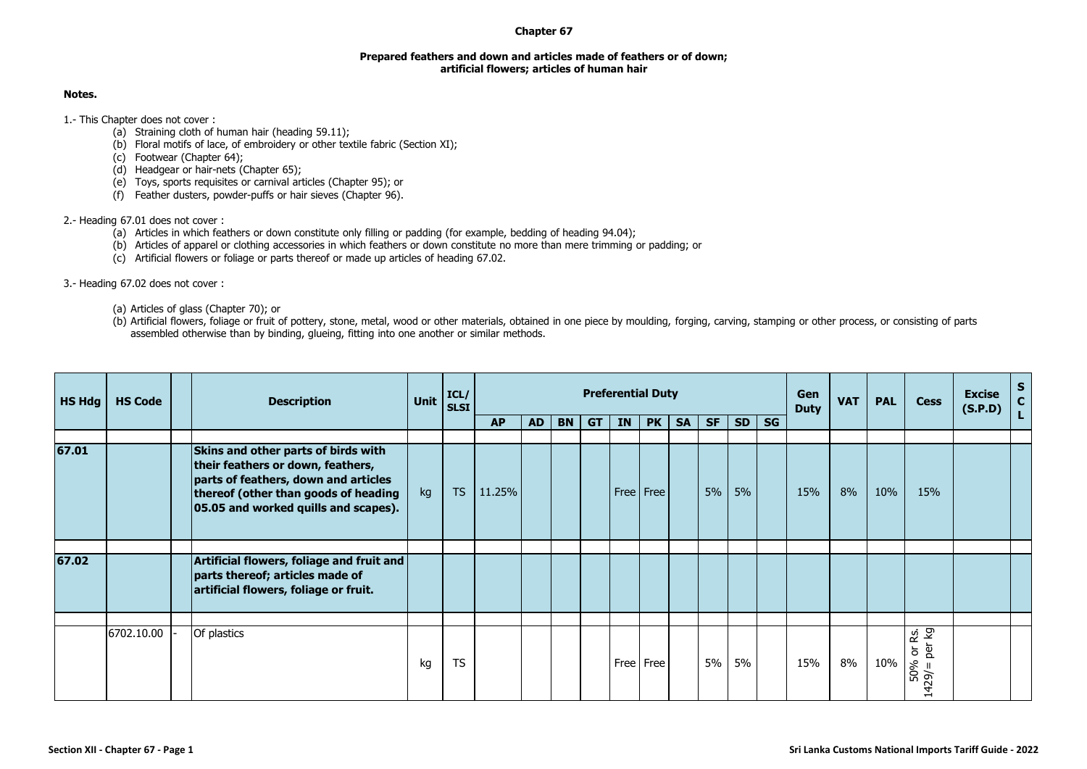## **Chapter 67**

## **Prepared feathers and down and articles made of feathers or of down; artificial flowers; articles of human hair**

## **Notes.**

1.- This Chapter does not cover :

- (a) Straining cloth of human hair (heading 59.11);
- (b) Floral motifs of lace, of embroidery or other textile fabric (Section XI);
- (c) Footwear (Chapter 64);
- (d) Headgear or hair-nets (Chapter 65);
- (e) Toys, sports requisites or carnival articles (Chapter 95); or
- (f) Feather dusters, powder-puffs or hair sieves (Chapter 96).

## 2.- Heading 67.01 does not cover :

- (a) Articles in which feathers or down constitute only filling or padding (for example, bedding of heading 94.04);
- (b) Articles of apparel or clothing accessories in which feathers or down constitute no more than mere trimming or padding; or
- (c) Artificial flowers or foliage or parts thereof or made up articles of heading 67.02.

3.- Heading 67.02 does not cover :

- (a) Articles of glass (Chapter 70); or
- (b) Artificial flowers, foliage or fruit of pottery, stone, metal, wood or other materials, obtained in one piece by moulding, forging, carving, stamping or other process, or consisting of parts assembled otherwise than by binding, glueing, fitting into one another or similar methods.

| <b>HS Hdg</b> | <b>HS Code</b> | <b>Description</b>                                                                                                                                                                               | <b>Unit</b> | ICL/<br><b>SLSI</b> | <b>Preferential Duty</b> |           |           |           |           |             |           |           |           | <b>Gen</b><br><b>Duty</b> | <b>VAT</b> | <b>PAL</b> | <b>Cess</b> | <b>Excise</b><br>(S.P.D)                           | $\frac{s}{c}$ |    |
|---------------|----------------|--------------------------------------------------------------------------------------------------------------------------------------------------------------------------------------------------|-------------|---------------------|--------------------------|-----------|-----------|-----------|-----------|-------------|-----------|-----------|-----------|---------------------------|------------|------------|-------------|----------------------------------------------------|---------------|----|
|               |                |                                                                                                                                                                                                  |             |                     | <b>AP</b>                | <b>AD</b> | <b>BN</b> | <b>GT</b> | <b>IN</b> | PK          | <b>SA</b> | <b>SF</b> | <b>SD</b> | <b>SG</b>                 |            |            |             |                                                    |               | L. |
| 67.01         |                | Skins and other parts of birds with<br>their feathers or down, feathers,<br>parts of feathers, down and articles<br>thereof (other than goods of heading<br>05.05 and worked quills and scapes). | kg          | <b>TS</b>           | 11.25%                   |           |           |           |           | Free   Free |           | 5%        | 5%        |                           | 15%        | 8%         | 10%         | 15%                                                |               |    |
| 67.02         |                | Artificial flowers, foliage and fruit and<br>parts thereof; articles made of<br>artificial flowers, foliage or fruit.                                                                            |             |                     |                          |           |           |           |           |             |           |           |           |                           |            |            |             |                                                    |               |    |
|               | 6702.10.00     | Of plastics                                                                                                                                                                                      | kg          | <b>TS</b>           |                          |           |           |           |           | Free Free   |           | 5%        | 5%        |                           | 15%        | 8%         | 10%         | ន្ថែ និ<br>è<br>$\overline{\sigma}$<br>50%<br>429/ |               |    |